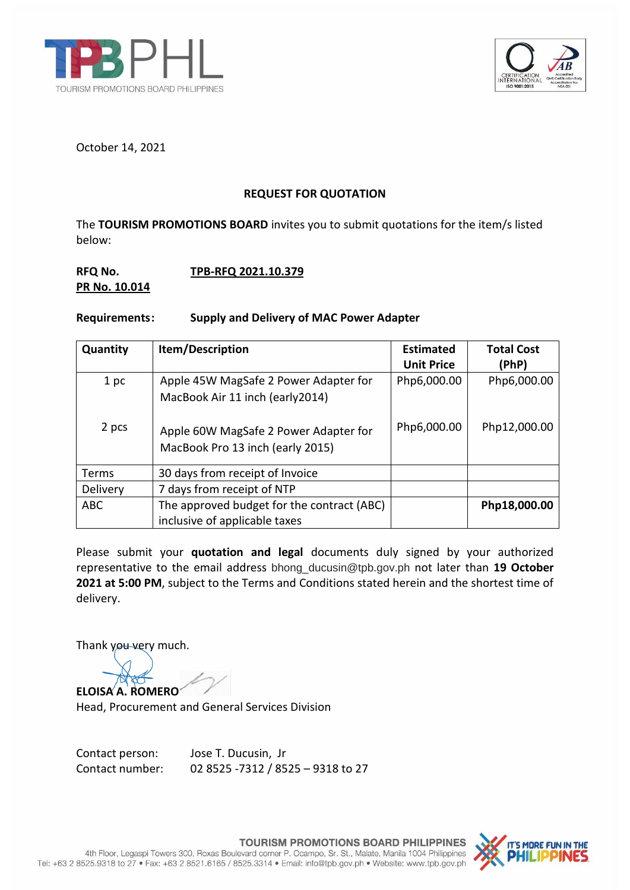



October 14, 2021

## **REQUEST FOR QUOTATION**

The **TOURISM PROMOTIONS BOARD** invites you to submit quotations for the item/s listed below:

## **RFQ No. TPB-RFQ 2021.10.379 PR No. 10.014**

## **Requirements: Supply and Delivery of MAC Power Adapter**

| Quantity   | Item/Description                                                            | <b>Estimated</b><br><b>Unit Price</b> | <b>Total Cost</b><br>(PhP) |
|------------|-----------------------------------------------------------------------------|---------------------------------------|----------------------------|
| 1 pc       | Apple 45W MagSafe 2 Power Adapter for<br>MacBook Air 11 inch (early2014)    | Php6,000.00                           | Php6,000.00                |
| 2 pcs      | Apple 60W MagSafe 2 Power Adapter for<br>MacBook Pro 13 inch (early 2015)   | Php6,000.00                           | Php12,000.00               |
| Terms      | 30 days from receipt of Invoice                                             |                                       |                            |
| Delivery   | 7 days from receipt of NTP                                                  |                                       |                            |
| <b>ABC</b> | The approved budget for the contract (ABC)<br>inclusive of applicable taxes |                                       | Php18,000.00               |

Please submit your **quotation and legal** documents duly signed by your authorized representative to the email address bhong\_ducusin@tpb.gov.ph not later than **19 October 2021 at 5:00 PM**, subject to the Terms and Conditions stated herein and the shortest time of delivery.

Thank you very much.

**ELOISA A. ROMERO**

Head, Procurement and General Services Division

Contact person: Jose T. Ducusin, Jr Contact number: 02 8525 -7312 / 8525 – 9318 to 27